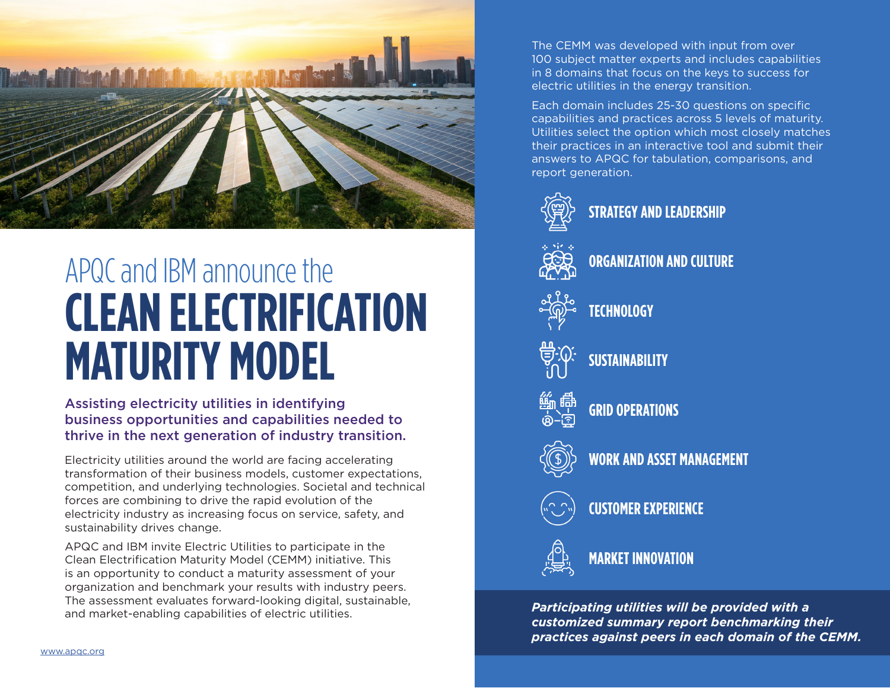

## APQC and IBM announce the **CLEAN ELECTRIFICATION MATURITY MODEL**

Assisting electricity utilities in identifying business opportunities and capabilities needed to thrive in the next generation of industry transition.

Electricity utilities around the world are facing accelerating transformation of their business models, customer expectations, competition, and underlying technologies. Societal and technical forces are combining to drive the rapid evolution of the electricity industry as increasing focus on service, safety, and sustainability drives change.

APQC and IBM invite Electric Utilities to participate in the Clean Electrification Maturity Model (CEMM) initiative. This is an opportunity to conduct a maturity assessment of your organization and benchmark your results with industry peers. The assessment evaluates forward-looking digital, sustainable, and market-enabling capabilities of electric utilities.

The CEMM was developed with input from over 100 subject matter experts and includes capabilities in 8 domains that focus on the keys to success for electric utilities in the energy transition.

Each domain includes 25-30 questions on specific capabilities and practices across 5 levels of maturity. Utilities select the option which most closely matches their practices in an interactive tool and submit their answers to APQC for tabulation, comparisons, and report generation.



**WORK AND ASSET MANAGEMENT**

**CUSTOMER EXPERIENCE**

**MARKET INNOVATION**

*Participating utilities will be provided with a customized summary report benchmarking their practices against peers in each domain of the CEMM.*